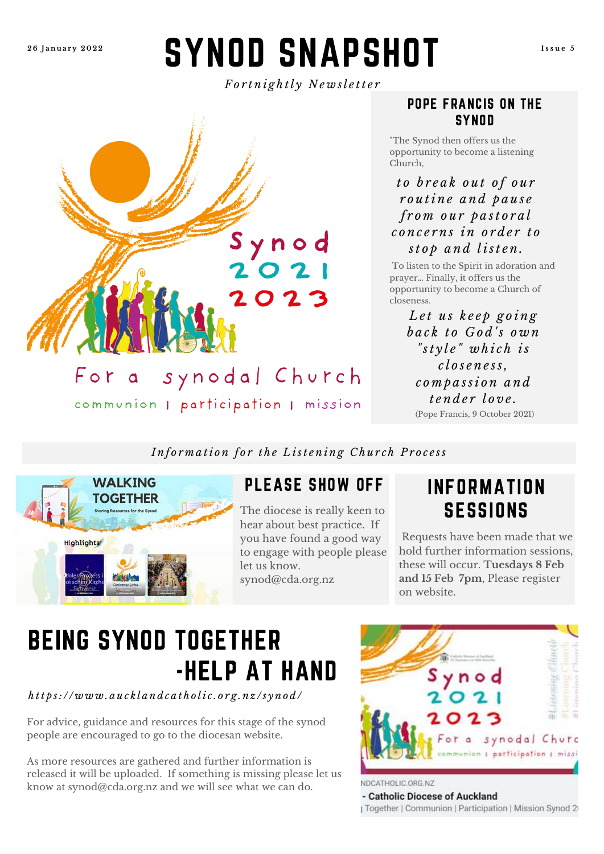**2 6 J a n u a r y 2 0 2 2**

# SYNOD SNAPSHOT

**I s s u e 5**

*F o r t n i g h t l y N e w s l e t t e r*



#### POPE FRANCIS ON THE **SYNOD**

"The Synod then offers us the opportunity to become a listening Church,

#### *t o b r e a k o u t o f o u r r o u t i n e a n d p a u s e f r o m o u r p a s t o r a l c o n c e r n s i n o r d e r t o s t o p a n d l i s t e n .*

To listen to the Spirit in adoration and prayer… Finally, it offers us the opportunity to become a Church of closeness.

> (Pope Francis, 9 October 2021) *L e t u s k e e p g o i n g b a c k t o G o d ' s o w n " s t y l e " w h i c h i s c l o s e n e s s , c o m p a s s i o n a n d t e n d e r l o v e .*

*Information for the Listening Church Process* 



### PLEASE SHOW OFF

The diocese is really keen to hear about best practice. If you have found a good way to engage with people please let us know. synod@cda.org.nz

## INFORMATION **SESSIONS**

Requests have been made that we hold further information sessions, these will occur. **Tuesdays 8 Feb and 15 Feb 7pm**, Please register on website.

# BEING SYNOD TOGETHER -HELP AT HAND

*h t t p s : / / w w w . a u c k l a n d c a t h o l i c . o r g . n z / s y n o d /*

For advice, guidance and resources for this stage of the synod people are encouraged to go to the diocesan website.

As more resources are gathered and further information is released it will be uploaded. If something is missing please let us know at synod@cda.org.nz and we will see what we can do.



NDCATHOLIC.ORG.NZ

- Catholic Diocese of Auckland

1 Together | Communion | Participation | Mission Synod 21